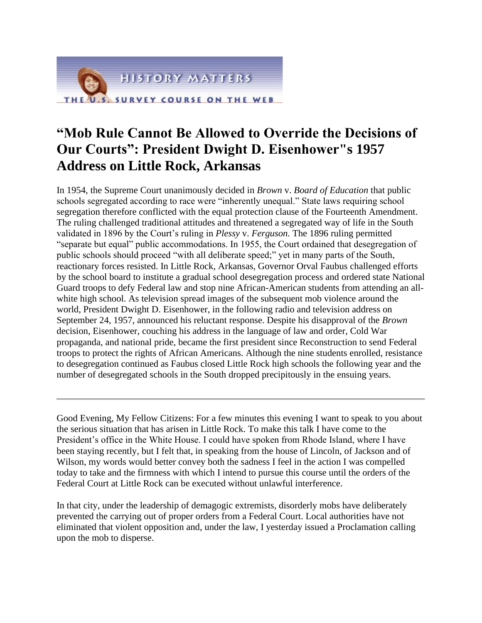

## **"Mob Rule Cannot Be Allowed to Override the Decisions of Our Courts": President Dwight D. Eisenhower"s 1957 Address on Little Rock, Arkansas**

In 1954, the Supreme Court unanimously decided in *Brown* v. *Board of Education* that public schools segregated according to race were "inherently unequal." State laws requiring school segregation therefore conflicted with the equal protection clause of the Fourteenth Amendment. The ruling challenged traditional attitudes and threatened a segregated way of life in the South validated in 1896 by the Court's ruling in *Plessy* v. *Ferguson.* The 1896 ruling permitted "separate but equal" public accommodations. In 1955, the Court ordained that desegregation of public schools should proceed "with all deliberate speed;" yet in many parts of the South, reactionary forces resisted. In Little Rock, Arkansas, Governor Orval Faubus challenged efforts by the school board to institute a gradual school desegregation process and ordered state National Guard troops to defy Federal law and stop nine African-American students from attending an allwhite high school. As television spread images of the subsequent mob violence around the world, President Dwight D. Eisenhower, in the following radio and television address on September 24, 1957, announced his reluctant response. Despite his disapproval of the *Brown* decision, Eisenhower, couching his address in the language of law and order, Cold War propaganda, and national pride, became the first president since Reconstruction to send Federal troops to protect the rights of African Americans. Although the nine students enrolled, resistance to desegregation continued as Faubus closed Little Rock high schools the following year and the number of desegregated schools in the South dropped precipitously in the ensuing years.

Good Evening, My Fellow Citizens: For a few minutes this evening I want to speak to you about the serious situation that has arisen in Little Rock. To make this talk I have come to the President's office in the White House. I could have spoken from Rhode Island, where I have been staying recently, but I felt that, in speaking from the house of Lincoln, of Jackson and of Wilson, my words would better convey both the sadness I feel in the action I was compelled today to take and the firmness with which I intend to pursue this course until the orders of the Federal Court at Little Rock can be executed without unlawful interference.

In that city, under the leadership of demagogic extremists, disorderly mobs have deliberately prevented the carrying out of proper orders from a Federal Court. Local authorities have not eliminated that violent opposition and, under the law, I yesterday issued a Proclamation calling upon the mob to disperse.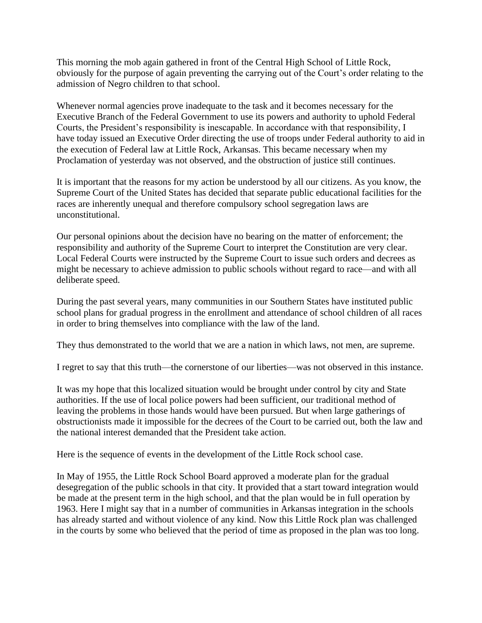This morning the mob again gathered in front of the Central High School of Little Rock, obviously for the purpose of again preventing the carrying out of the Court's order relating to the admission of Negro children to that school.

Whenever normal agencies prove inadequate to the task and it becomes necessary for the Executive Branch of the Federal Government to use its powers and authority to uphold Federal Courts, the President's responsibility is inescapable. In accordance with that responsibility, I have today issued an Executive Order directing the use of troops under Federal authority to aid in the execution of Federal law at Little Rock, Arkansas. This became necessary when my Proclamation of yesterday was not observed, and the obstruction of justice still continues.

It is important that the reasons for my action be understood by all our citizens. As you know, the Supreme Court of the United States has decided that separate public educational facilities for the races are inherently unequal and therefore compulsory school segregation laws are unconstitutional.

Our personal opinions about the decision have no bearing on the matter of enforcement; the responsibility and authority of the Supreme Court to interpret the Constitution are very clear. Local Federal Courts were instructed by the Supreme Court to issue such orders and decrees as might be necessary to achieve admission to public schools without regard to race—and with all deliberate speed.

During the past several years, many communities in our Southern States have instituted public school plans for gradual progress in the enrollment and attendance of school children of all races in order to bring themselves into compliance with the law of the land.

They thus demonstrated to the world that we are a nation in which laws, not men, are supreme.

I regret to say that this truth—the cornerstone of our liberties—was not observed in this instance.

It was my hope that this localized situation would be brought under control by city and State authorities. If the use of local police powers had been sufficient, our traditional method of leaving the problems in those hands would have been pursued. But when large gatherings of obstructionists made it impossible for the decrees of the Court to be carried out, both the law and the national interest demanded that the President take action.

Here is the sequence of events in the development of the Little Rock school case.

In May of 1955, the Little Rock School Board approved a moderate plan for the gradual desegregation of the public schools in that city. It provided that a start toward integration would be made at the present term in the high school, and that the plan would be in full operation by 1963. Here I might say that in a number of communities in Arkansas integration in the schools has already started and without violence of any kind. Now this Little Rock plan was challenged in the courts by some who believed that the period of time as proposed in the plan was too long.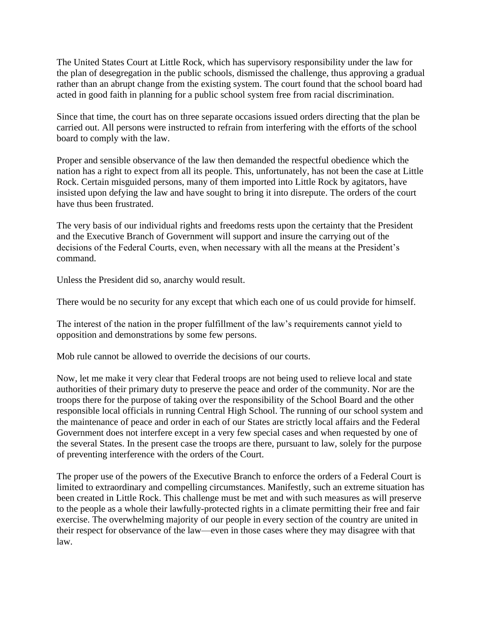The United States Court at Little Rock, which has supervisory responsibility under the law for the plan of desegregation in the public schools, dismissed the challenge, thus approving a gradual rather than an abrupt change from the existing system. The court found that the school board had acted in good faith in planning for a public school system free from racial discrimination.

Since that time, the court has on three separate occasions issued orders directing that the plan be carried out. All persons were instructed to refrain from interfering with the efforts of the school board to comply with the law.

Proper and sensible observance of the law then demanded the respectful obedience which the nation has a right to expect from all its people. This, unfortunately, has not been the case at Little Rock. Certain misguided persons, many of them imported into Little Rock by agitators, have insisted upon defying the law and have sought to bring it into disrepute. The orders of the court have thus been frustrated.

The very basis of our individual rights and freedoms rests upon the certainty that the President and the Executive Branch of Government will support and insure the carrying out of the decisions of the Federal Courts, even, when necessary with all the means at the President's command.

Unless the President did so, anarchy would result.

There would be no security for any except that which each one of us could provide for himself.

The interest of the nation in the proper fulfillment of the law's requirements cannot yield to opposition and demonstrations by some few persons.

Mob rule cannot be allowed to override the decisions of our courts.

Now, let me make it very clear that Federal troops are not being used to relieve local and state authorities of their primary duty to preserve the peace and order of the community. Nor are the troops there for the purpose of taking over the responsibility of the School Board and the other responsible local officials in running Central High School. The running of our school system and the maintenance of peace and order in each of our States are strictly local affairs and the Federal Government does not interfere except in a very few special cases and when requested by one of the several States. In the present case the troops are there, pursuant to law, solely for the purpose of preventing interference with the orders of the Court.

The proper use of the powers of the Executive Branch to enforce the orders of a Federal Court is limited to extraordinary and compelling circumstances. Manifestly, such an extreme situation has been created in Little Rock. This challenge must be met and with such measures as will preserve to the people as a whole their lawfully-protected rights in a climate permitting their free and fair exercise. The overwhelming majority of our people in every section of the country are united in their respect for observance of the law—even in those cases where they may disagree with that law.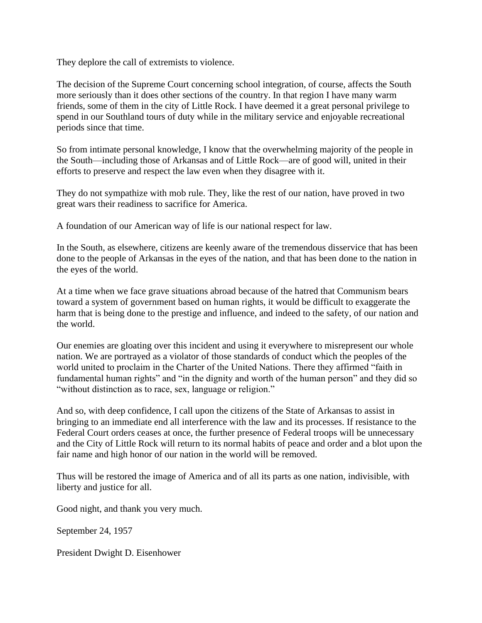They deplore the call of extremists to violence.

The decision of the Supreme Court concerning school integration, of course, affects the South more seriously than it does other sections of the country. In that region I have many warm friends, some of them in the city of Little Rock. I have deemed it a great personal privilege to spend in our Southland tours of duty while in the military service and enjoyable recreational periods since that time.

So from intimate personal knowledge, I know that the overwhelming majority of the people in the South—including those of Arkansas and of Little Rock—are of good will, united in their efforts to preserve and respect the law even when they disagree with it.

They do not sympathize with mob rule. They, like the rest of our nation, have proved in two great wars their readiness to sacrifice for America.

A foundation of our American way of life is our national respect for law.

In the South, as elsewhere, citizens are keenly aware of the tremendous disservice that has been done to the people of Arkansas in the eyes of the nation, and that has been done to the nation in the eyes of the world.

At a time when we face grave situations abroad because of the hatred that Communism bears toward a system of government based on human rights, it would be difficult to exaggerate the harm that is being done to the prestige and influence, and indeed to the safety, of our nation and the world.

Our enemies are gloating over this incident and using it everywhere to misrepresent our whole nation. We are portrayed as a violator of those standards of conduct which the peoples of the world united to proclaim in the Charter of the United Nations. There they affirmed "faith in fundamental human rights" and "in the dignity and worth of the human person" and they did so "without distinction as to race, sex, language or religion."

And so, with deep confidence, I call upon the citizens of the State of Arkansas to assist in bringing to an immediate end all interference with the law and its processes. If resistance to the Federal Court orders ceases at once, the further presence of Federal troops will be unnecessary and the City of Little Rock will return to its normal habits of peace and order and a blot upon the fair name and high honor of our nation in the world will be removed.

Thus will be restored the image of America and of all its parts as one nation, indivisible, with liberty and justice for all.

Good night, and thank you very much.

September 24, 1957

President Dwight D. Eisenhower